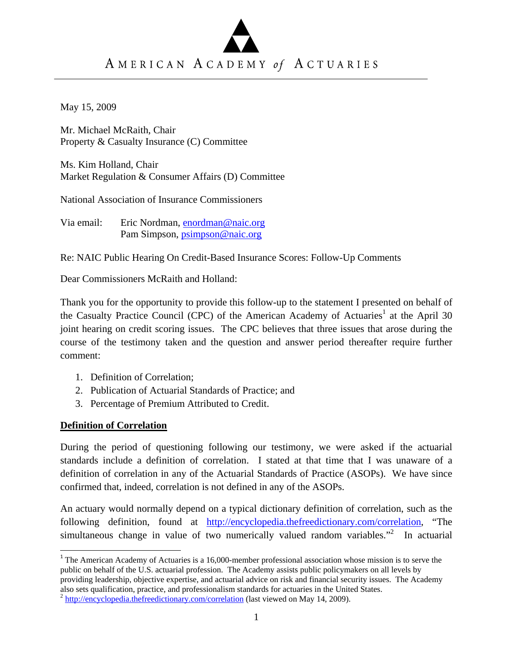# AMERICAN ACADEMY of ACTUARIES

May 15, 2009

Mr. Michael McRaith, Chair Property & Casualty Insurance (C) Committee

Ms. Kim Holland, Chair Market Regulation & Consumer Affairs (D) Committee

National Association of Insurance Commissioners

Via email: Eric Nordman, enordman@naic.org Pam Simpson, psimpson@naic.org

Re: NAIC Public Hearing On Credit-Based Insurance Scores: Follow-Up Comments

Dear Commissioners McRaith and Holland:

Thank you for the opportunity to provide this follow-up to the statement I presented on behalf of the Casualty Practice Council (CPC) of the American Academy of Actuaries<sup>1</sup> at the April 30 joint hearing on credit scoring issues. The CPC believes that three issues that arose during the course of the testimony taken and the question and answer period thereafter require further comment:

- 1. Definition of Correlation;
- 2. Publication of Actuarial Standards of Practice; and
- 3. Percentage of Premium Attributed to Credit.

### **Definition of Correlation**

During the period of questioning following our testimony, we were asked if the actuarial standards include a definition of correlation. I stated at that time that I was unaware of a definition of correlation in any of the Actuarial Standards of Practice (ASOPs). We have since confirmed that, indeed, correlation is not defined in any of the ASOPs.

An actuary would normally depend on a typical dictionary definition of correlation, such as the following definition, found at http://encyclopedia.thefreedictionary.com/correlation, "The simultaneous change in value of two numerically valued random variables."<sup>2</sup> In actuarial

<sup>&</sup>lt;sup>1</sup> The American Academy of Actuaries is a 16,000-member professional association whose mission is to serve the public on behalf of the U.S. actuarial profession. The Academy assists public policymakers on all levels by providing leadership, objective expertise, and actuarial advice on risk and financial security issues. The Academy also sets qualification, practice, and professionalism standards for actuaries in the United States.<br><sup>2</sup> http://encyclopedia.thefreedictionary.com/correlation (last viewed on May 14, 2009).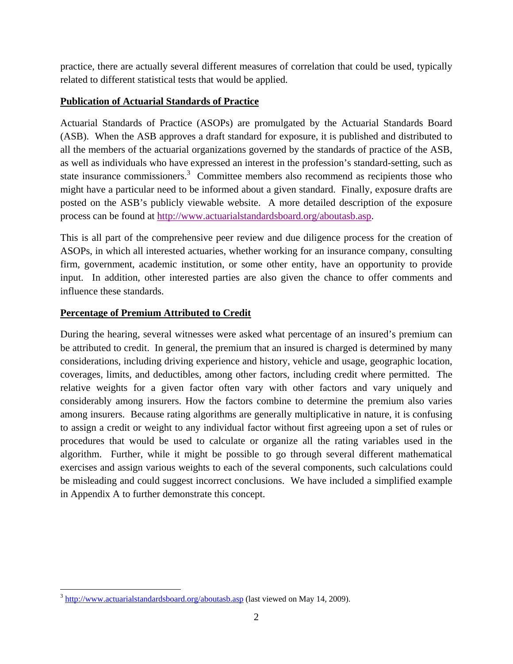practice, there are actually several different measures of correlation that could be used, typically related to different statistical tests that would be applied.

# **Publication of Actuarial Standards of Practice**

Actuarial Standards of Practice (ASOPs) are promulgated by the Actuarial Standards Board (ASB). When the ASB approves a draft standard for exposure, it is published and distributed to all the members of the actuarial organizations governed by the standards of practice of the ASB, as well as individuals who have expressed an interest in the profession's standard-setting, such as state insurance commissioners.<sup>3</sup> Committee members also recommend as recipients those who might have a particular need to be informed about a given standard. Finally, exposure drafts are posted on the ASB's publicly viewable website. A more detailed description of the exposure process can be found at http://www.actuarialstandardsboard.org/aboutasb.asp.

This is all part of the comprehensive peer review and due diligence process for the creation of ASOPs, in which all interested actuaries, whether working for an insurance company, consulting firm, government, academic institution, or some other entity, have an opportunity to provide input. In addition, other interested parties are also given the chance to offer comments and influence these standards.

## **Percentage of Premium Attributed to Credit**

During the hearing, several witnesses were asked what percentage of an insured's premium can be attributed to credit. In general, the premium that an insured is charged is determined by many considerations, including driving experience and history, vehicle and usage, geographic location, coverages, limits, and deductibles, among other factors, including credit where permitted. The relative weights for a given factor often vary with other factors and vary uniquely and considerably among insurers. How the factors combine to determine the premium also varies among insurers. Because rating algorithms are generally multiplicative in nature, it is confusing to assign a credit or weight to any individual factor without first agreeing upon a set of rules or procedures that would be used to calculate or organize all the rating variables used in the algorithm. Further, while it might be possible to go through several different mathematical exercises and assign various weights to each of the several components, such calculations could be misleading and could suggest incorrect conclusions. We have included a simplified example in Appendix A to further demonstrate this concept.

  $3 \text{ http://www.actualstandardsboard.org/aboutash.asp (last viewed on May 14, 2009).}$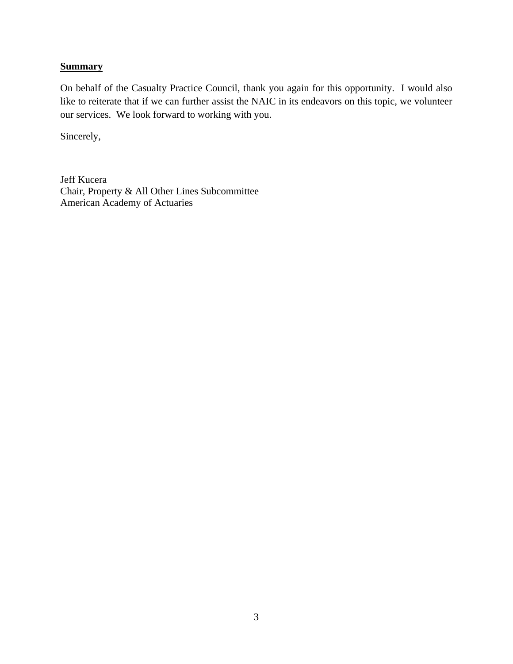### **Summary**

On behalf of the Casualty Practice Council, thank you again for this opportunity. I would also like to reiterate that if we can further assist the NAIC in its endeavors on this topic, we volunteer our services. We look forward to working with you.

Sincerely,

Jeff Kucera Chair, Property & All Other Lines Subcommittee American Academy of Actuaries